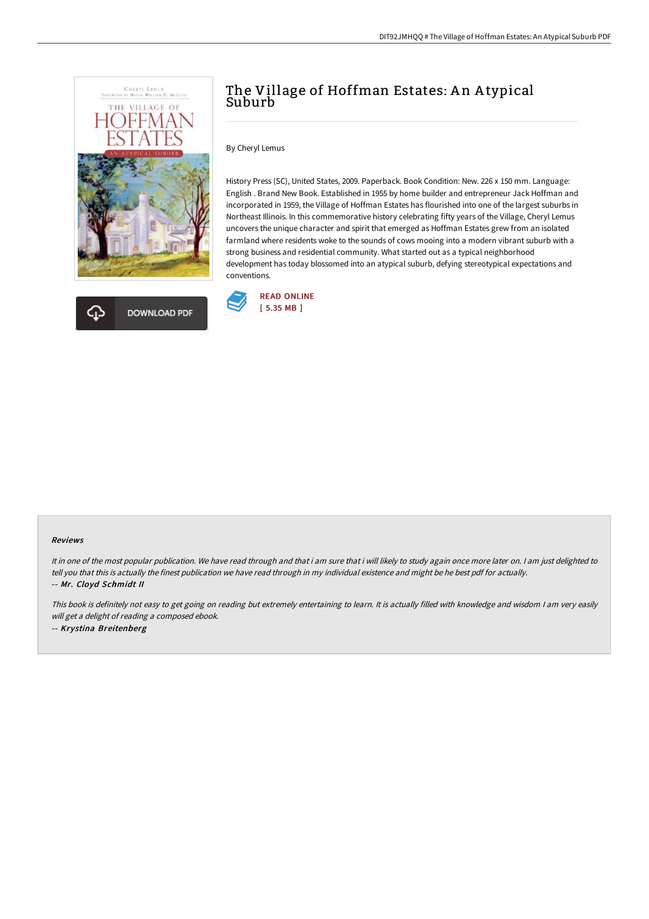



# The Village of Hoffman Estates: An Atypical Suburb

By Cheryl Lemus

History Press (SC), United States, 2009. Paperback. Book Condition: New. 226 x 150 mm. Language: English . Brand New Book. Established in 1955 by home builder and entrepreneur Jack Hoffman and incorporated in 1959, the Village of Hoffman Estates has flourished into one of the largest suburbs in Northeast Illinois. In this commemorative history celebrating fifty years of the Village, Cheryl Lemus uncovers the unique character and spirit that emerged as Hoffman Estates grew from an isolated farmland where residents woke to the sounds of cows mooing into a modern vibrant suburb with a strong business and residential community. What started out as a typical neighborhood development has today blossomed into an atypical suburb, defying stereotypical expectations and conventions.



#### Reviews

It in one of the most popular publication. We have read through and that i am sure that i will likely to study again once more later on. <sup>I</sup> am just delighted to tell you that this is actually the finest publication we have read through in my individual existence and might be he best pdf for actually. -- Mr. Cloyd Schmidt II

This book is definitely not easy to get going on reading but extremely entertaining to learn. It is actually filled with knowledge and wisdom <sup>I</sup> am very easily will get <sup>a</sup> delight of reading <sup>a</sup> composed ebook. -- Krystina Breitenberg